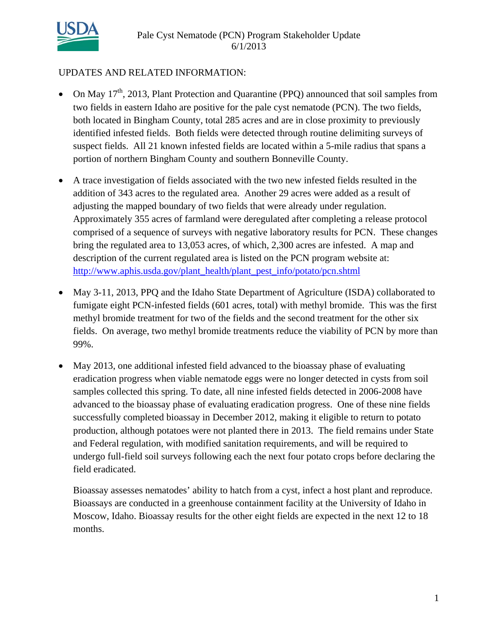

## UPDATES AND RELATED INFORMATION:

- On May  $17<sup>th</sup>$ , 2013, Plant Protection and Quarantine (PPQ) announced that soil samples from two fields in eastern Idaho are positive for the pale cyst nematode (PCN). The two fields, both located in Bingham County, total 285 acres and are in close proximity to previously identified infested fields. Both fields were detected through routine delimiting surveys of suspect fields. All 21 known infested fields are located within a 5-mile radius that spans a portion of northern Bingham County and southern Bonneville County.
- A trace investigation of fields associated with the two new infested fields resulted in the addition of 343 acres to the regulated area. Another 29 acres were added as a result of adjusting the mapped boundary of two fields that were already under regulation. Approximately 355 acres of farmland were deregulated after completing a release protocol comprised of a sequence of surveys with negative laboratory results for PCN. These changes bring the regulated area to 13,053 acres, of which, 2,300 acres are infested. A map and description of the current regulated area is listed on the PCN program website at: http://www.aphis.usda.gov/plant\_health/plant\_pest\_info/potato/pcn.shtml
- May 3-11, 2013, PPQ and the Idaho State Department of Agriculture (ISDA) collaborated to fumigate eight PCN-infested fields (601 acres, total) with methyl bromide. This was the first methyl bromide treatment for two of the fields and the second treatment for the other six fields. On average, two methyl bromide treatments reduce the viability of PCN by more than 99%.
- May 2013, one additional infested field advanced to the bioassay phase of evaluating eradication progress when viable nematode eggs were no longer detected in cysts from soil samples collected this spring. To date, all nine infested fields detected in 2006-2008 have advanced to the bioassay phase of evaluating eradication progress. One of these nine fields successfully completed bioassay in December 2012, making it eligible to return to potato production, although potatoes were not planted there in 2013. The field remains under State and Federal regulation, with modified sanitation requirements, and will be required to undergo full-field soil surveys following each the next four potato crops before declaring the field eradicated.

Bioassay assesses nematodes' ability to hatch from a cyst, infect a host plant and reproduce. Bioassays are conducted in a greenhouse containment facility at the University of Idaho in Moscow, Idaho. Bioassay results for the other eight fields are expected in the next 12 to 18 months.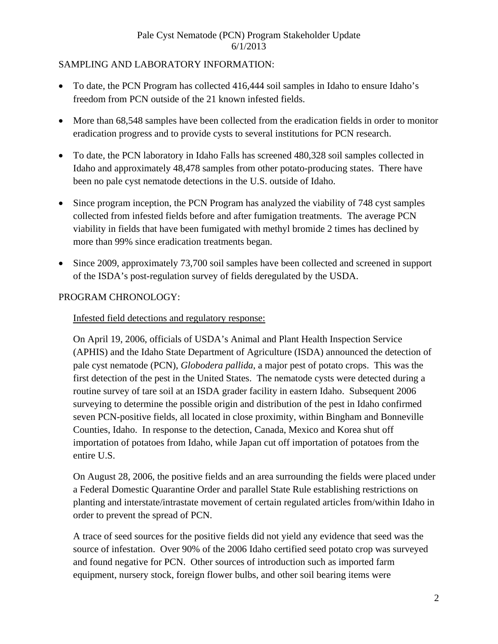# SAMPLING AND LABORATORY INFORMATION:

- To date, the PCN Program has collected 416,444 soil samples in Idaho to ensure Idaho's freedom from PCN outside of the 21 known infested fields.
- More than 68,548 samples have been collected from the eradication fields in order to monitor eradication progress and to provide cysts to several institutions for PCN research.
- To date, the PCN laboratory in Idaho Falls has screened 480,328 soil samples collected in Idaho and approximately 48,478 samples from other potato-producing states. There have been no pale cyst nematode detections in the U.S. outside of Idaho.
- Since program inception, the PCN Program has analyzed the viability of 748 cyst samples collected from infested fields before and after fumigation treatments. The average PCN viability in fields that have been fumigated with methyl bromide 2 times has declined by more than 99% since eradication treatments began.
- Since 2009, approximately 73,700 soil samples have been collected and screened in support of the ISDA's post-regulation survey of fields deregulated by the USDA.

## PROGRAM CHRONOLOGY:

# Infested field detections and regulatory response:

On April 19, 2006, officials of USDA's Animal and Plant Health Inspection Service (APHIS) and the Idaho State Department of Agriculture (ISDA) announced the detection of pale cyst nematode (PCN), *Globodera pallida*, a major pest of potato crops. This was the first detection of the pest in the United States. The nematode cysts were detected during a routine survey of tare soil at an ISDA grader facility in eastern Idaho. Subsequent 2006 surveying to determine the possible origin and distribution of the pest in Idaho confirmed seven PCN-positive fields, all located in close proximity, within Bingham and Bonneville Counties, Idaho. In response to the detection, Canada, Mexico and Korea shut off importation of potatoes from Idaho, while Japan cut off importation of potatoes from the entire U.S.

On August 28, 2006, the positive fields and an area surrounding the fields were placed under a Federal Domestic Quarantine Order and parallel State Rule establishing restrictions on planting and interstate/intrastate movement of certain regulated articles from/within Idaho in order to prevent the spread of PCN.

A trace of seed sources for the positive fields did not yield any evidence that seed was the source of infestation. Over 90% of the 2006 Idaho certified seed potato crop was surveyed and found negative for PCN. Other sources of introduction such as imported farm equipment, nursery stock, foreign flower bulbs, and other soil bearing items were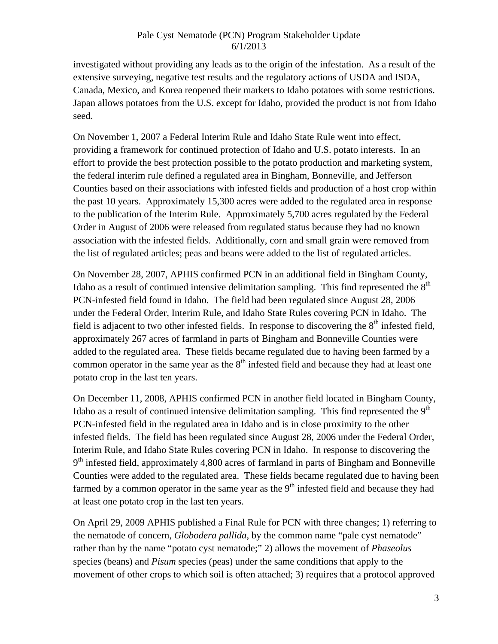investigated without providing any leads as to the origin of the infestation. As a result of the extensive surveying, negative test results and the regulatory actions of USDA and ISDA, Canada, Mexico, and Korea reopened their markets to Idaho potatoes with some restrictions. Japan allows potatoes from the U.S. except for Idaho, provided the product is not from Idaho seed.

On November 1, 2007 a Federal Interim Rule and Idaho State Rule went into effect, providing a framework for continued protection of Idaho and U.S. potato interests. In an effort to provide the best protection possible to the potato production and marketing system, the federal interim rule defined a regulated area in Bingham, Bonneville, and Jefferson Counties based on their associations with infested fields and production of a host crop within the past 10 years. Approximately 15,300 acres were added to the regulated area in response to the publication of the Interim Rule. Approximately 5,700 acres regulated by the Federal Order in August of 2006 were released from regulated status because they had no known association with the infested fields. Additionally, corn and small grain were removed from the list of regulated articles; peas and beans were added to the list of regulated articles.

On November 28, 2007, APHIS confirmed PCN in an additional field in Bingham County, Idaho as a result of continued intensive delimitation sampling. This find represented the  $8<sup>th</sup>$ PCN-infested field found in Idaho. The field had been regulated since August 28, 2006 under the Federal Order, Interim Rule, and Idaho State Rules covering PCN in Idaho. The field is adjacent to two other infested fields. In response to discovering the  $8<sup>th</sup>$  infested field, approximately 267 acres of farmland in parts of Bingham and Bonneville Counties were added to the regulated area. These fields became regulated due to having been farmed by a common operator in the same year as the  $8<sup>th</sup>$  infested field and because they had at least one potato crop in the last ten years.

On December 11, 2008, APHIS confirmed PCN in another field located in Bingham County, Idaho as a result of continued intensive delimitation sampling. This find represented the  $9<sup>th</sup>$ PCN-infested field in the regulated area in Idaho and is in close proximity to the other infested fields. The field has been regulated since August 28, 2006 under the Federal Order, Interim Rule, and Idaho State Rules covering PCN in Idaho. In response to discovering the  $9<sup>th</sup>$  infested field, approximately 4,800 acres of farmland in parts of Bingham and Bonneville Counties were added to the regulated area. These fields became regulated due to having been farmed by a common operator in the same year as the  $9<sup>th</sup>$  infested field and because they had at least one potato crop in the last ten years.

On April 29, 2009 APHIS published a Final Rule for PCN with three changes; 1) referring to the nematode of concern, *Globodera pallida*, by the common name "pale cyst nematode" rather than by the name "potato cyst nematode;" 2) allows the movement of *Phaseolus* species (beans) and *Pisum* species (peas) under the same conditions that apply to the movement of other crops to which soil is often attached; 3) requires that a protocol approved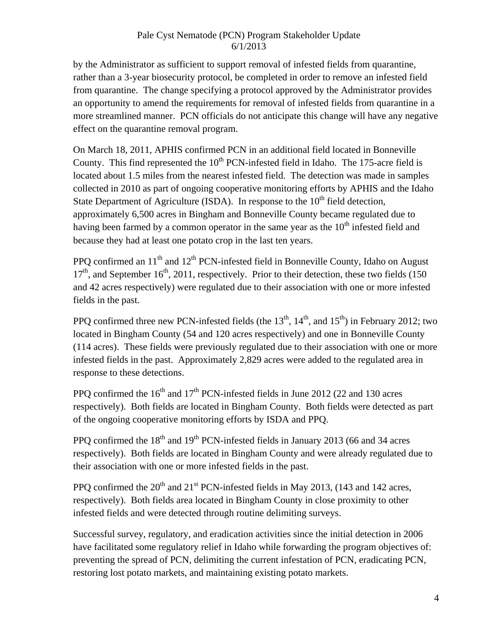by the Administrator as sufficient to support removal of infested fields from quarantine, rather than a 3-year biosecurity protocol, be completed in order to remove an infested field from quarantine. The change specifying a protocol approved by the Administrator provides an opportunity to amend the requirements for removal of infested fields from quarantine in a more streamlined manner. PCN officials do not anticipate this change will have any negative effect on the quarantine removal program.

On March 18, 2011, APHIS confirmed PCN in an additional field located in Bonneville County. This find represented the  $10<sup>th</sup>$  PCN-infested field in Idaho. The 175-acre field is located about 1.5 miles from the nearest infested field. The detection was made in samples collected in 2010 as part of ongoing cooperative monitoring efforts by APHIS and the Idaho State Department of Agriculture (ISDA). In response to the  $10<sup>th</sup>$  field detection, approximately 6,500 acres in Bingham and Bonneville County became regulated due to having been farmed by a common operator in the same year as the  $10<sup>th</sup>$  infested field and because they had at least one potato crop in the last ten years.

PPQ confirmed an  $11<sup>th</sup>$  and  $12<sup>th</sup>$  PCN-infested field in Bonneville County, Idaho on August  $17<sup>th</sup>$ , and September 16<sup>th</sup>, 2011, respectively. Prior to their detection, these two fields (150) and 42 acres respectively) were regulated due to their association with one or more infested fields in the past.

PPQ confirmed three new PCN-infested fields (the  $13<sup>th</sup>$ ,  $14<sup>th</sup>$ , and  $15<sup>th</sup>$ ) in February 2012; two located in Bingham County (54 and 120 acres respectively) and one in Bonneville County (114 acres). These fields were previously regulated due to their association with one or more infested fields in the past. Approximately 2,829 acres were added to the regulated area in response to these detections.

PPQ confirmed the  $16<sup>th</sup>$  and  $17<sup>th</sup>$  PCN-infested fields in June 2012 (22 and 130 acres respectively). Both fields are located in Bingham County. Both fields were detected as part of the ongoing cooperative monitoring efforts by ISDA and PPQ.

PPQ confirmed the  $18<sup>th</sup>$  and  $19<sup>th</sup>$  PCN-infested fields in January 2013 (66 and 34 acres respectively). Both fields are located in Bingham County and were already regulated due to their association with one or more infested fields in the past.

PPO confirmed the  $20^{th}$  and  $21^{st}$  PCN-infested fields in May 2013, (143 and 142 acres, respectively). Both fields area located in Bingham County in close proximity to other infested fields and were detected through routine delimiting surveys.

Successful survey, regulatory, and eradication activities since the initial detection in 2006 have facilitated some regulatory relief in Idaho while forwarding the program objectives of: preventing the spread of PCN, delimiting the current infestation of PCN, eradicating PCN, restoring lost potato markets, and maintaining existing potato markets.